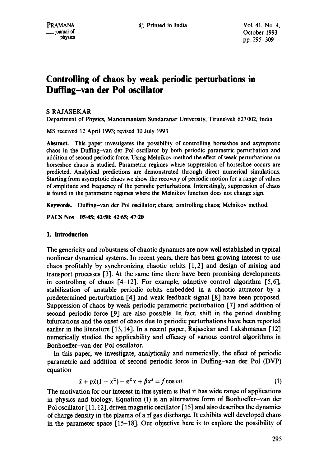# **Controlling of chaos by weak periodic perturbations in Duffing-van der Pol oscillator**

## **S RAJASEKAR**

Department of Physics, Manonmaniam Sundaranar University, Tirunetveli 627 002, India

MS received 12 April 1993; revised 30 July 1993

Abstract. This paper investigates the possibility of controlling horseshoe and asymptotic chaos in the Dulling-van der Pol oscillator by both periodic parametric perturbation and addition of second periodic force. Using Melnikov method the effect of weak perturbations on horseshoe chaos is studied. Parametric regimes where suppression of horseshoe occurs are predicted. Analytical predictions are demonstrated through direct numerical simulations. Starting from asymptotic chaos we show the recovery of periodic motion for a range of values of amplitude and frequency of the periodic perturbations. Interestingly, suppression of chaos is found in the parametric regimes where the Melnikov function does not change sign.

Keywords. Dulling-van der Pol oscillator; chaos; controlling chaos; Melnikov method.

PACS Nos 05-45; 42-50; 42-65; 47-20

## **1. Introduction**

The genericity and robustness of chaotic dynamics are now well established in typical nonlinear dynamical systems. In recent years, there has been growing interest to use chaos profitably by synchronizing chaotic orbits  $[1,2]$  and design of mixing and transport processes [3]. At the same time there have been promising developments in controlling of chaos  $[4-12]$ . For example, adaptive control algorithm  $[5,6]$ , stabilization of unstable periodic orbits embedded in a chaotic attractor by a predetermined perturbation [4] and weak feedback signal [8] have been proposed. Suppression of chaos by weak periodic parametric perturbation [7] and addition of second periodic force [9] are also possible. In fact, shift in the period doubling bifurcations and the onset of chaos due to periodic perturbations have been reported earlier in the literature [13, 14]. In a recent paper, Rajasekar and Lakshmanan [12] numerically studied the applicability and efficacy of various control algorithms in Bonhoeffer-van der Pol oscillator.

In this paper, we investigate, analytically and numerically, the effect of periodic parametric and addition of second periodic force in Duffing-van der Pol (DVP) equation

$$
\ddot{x} + p\dot{x}(1 - x^2) - \alpha^2 x + \beta x^3 = f\cos \omega t.
$$
 (1)

The motivation for our interest in this system is that it has wide range of applications in physics and biology. Equation (1) is an alternative form of Bonhoeffer-van der Pol oscillator [11, 12], driven magnetic oscillator [ 15] and also describes the dynamics of charge density in the plasma of a rf gas discharge. It exhibits well developed chaos in the parameter space [15-18]. Our objective here is to explore the possibility of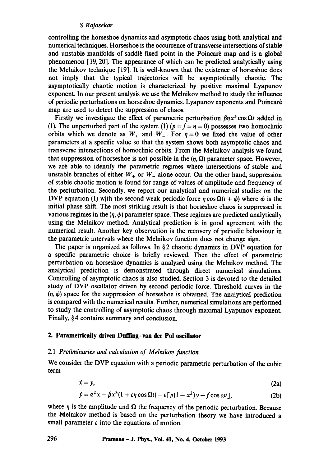controlling the horseshoe dynamics and asymptotic chaos using both analytical and numerical techniques. Horseshoe is the occurrence of transverse intersections of stable and unstable manifolds of saddle fixed point in the Poincaré map and is a global phenomenon [19, 20]. The appearance of which can be predicted analytically using the Melnikov technique [19]. It is well-known that the existence of horseshoe does not imply that the typical trajectories will be asymptotically chaotic. The asymptotically chaotic motion is characterized by positive maximal Lyapunov exponent. In our present analysis we use the Melnikov method to study the influence of periodic perturbations on horseshoe dynamics. Lyapunov exponents and Poincar6 map are used to detect the suppression of chaos.

Firstly we investigate the effect of parametric perturbation  $\beta nx^3 \cos \Omega t$  added in (1). The unperturbed part of the system (1) ( $p = f = \eta = 0$ ) possesses two homoclinic orbits which we denote as  $W_+$  and  $W_-$ . For  $\eta = 0$  we fixed the value of other parameters at a specific value so that the system shows both asymptotic chaos and transverse intersections of homoclinic orbits. From the Melnikov analysis we found that suppression of horseshoe is not possible in the  $(\eta, \Omega)$  parameter space. However, we are able to identify the parametric regimes where intersections of stable and unstable branches of either  $W_+$  or  $W_-$  alone occur. On the other hand, suppression of stable chaotic motion is found for range of values of amplitude and frequency of the perturbation. Secondly, we report our analytical and numerical studies on the DVP equation (1) with the second weak periodic force  $\eta \cos \Omega(t + \phi)$  where  $\phi$  is the initial phase shift. The most striking result is that horseshoe chaos is suppressed in various regimes in the  $(\eta, \phi)$  parameter space. These regimes are predicted analytically using the Melnikov method. Analytical prediction is in good agreement with the numerical result. Another key observation is the recovery of periodic behaviour in the parametric intervals where the Melnikov function does not change sign.

The paper is organized as follows. In § 2 chaotic dynamics in DVP equation for a specific parametric choice is briefly reviewed. Then the effect of parametric perturbation on horseshoe dynamics is analysed using the Melnikov method. The analytical prediction is demonstrated through direct numerical simulations. Controlling of asymptotic chaos is also studied. Section 3 is devoted to the detailed study of DVP oscillator driven by second periodic force. Threshold curves in the  $(n, \phi)$  space for the suppression of horseshoe is obtained. The analytical prediction is compared with the numerical results. Further, numerical simulations are performed to study the controlling of asymptotic chaos through maximal Lyapunov exponent. Finally, § 4 contains summary and conclusion.

## **2. Parametrically driven Duffing-van der Pol oscillator**

#### 2.1 *Preliminaries and calculation of Melnikov function*

We consider the DVP equation with a periodic parametric perturbation of the cubic term

$$
\dot{x} = y,\tag{2a}
$$

$$
\dot{y} = \alpha^2 x - \beta x^3 (1 + \varepsilon \eta \cos \Omega t) - \varepsilon [p(1 - x^2)y - f \cos \omega t],
$$
 (2b)

where  $\eta$  is the amplitude and  $\Omega$  the frequency of the periodic perturbation. Because the Melnikov method is based on the perturbation theory we have introduced a small parameter  $\varepsilon$  into the equations of motion.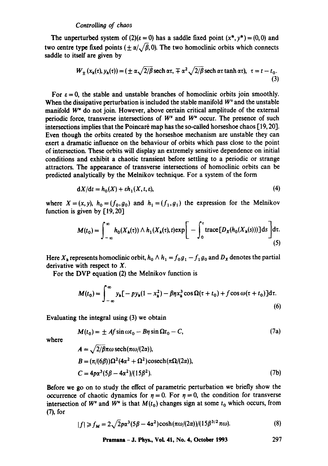The unperturbed system of (2)( $\varepsilon = 0$ ) has a saddle fixed point  $(x^*, y^*) = (0, 0)$  and two centre type fixed points ( $\pm \alpha/\sqrt{\beta}$ , 0). The two homoclinic orbits which connects saddle to itself are given by

$$
W_{\pm}(x_h(\tau), y_h(\tau)) = (\pm \alpha \sqrt{2/\beta} \operatorname{sech} \alpha \tau, \mp \alpha^2 \sqrt{2/\beta} \operatorname{sech} \alpha \tau \tanh \alpha \tau), \ \tau = t - t_0.
$$
\n(3)

For  $\varepsilon = 0$ , the stable and unstable branches of homoclinic orbits join smoothly. When the dissipative perturbation is included the stable manifold  $W^s$  and the unstable manifold W<sup>"</sup> do not join. However, above certain critical amplitude of the external periodic force, transverse intersections of  $W^s$  and  $W^u$  occur. The presence of such intersections implies that the Poincaré map has the so-called horseshoe chaos [19, 20]. Even though the orbits created by the horseshoe mechanism are unstable they can exert a dramatic influence on the behaviour of orbits which pass close to the point of intersection. These orbits will display an extremely sensitive dependence on initial conditions and exhibit a chaotic transient before settling to a periodic or strange attractors. The appearance of transverse intersections of homoclinic orbits can be predicted analytically by the Melnikov technique. For a system of the form

$$
dX/dt = h_0(X) + \varepsilon h_1(X, t, \varepsilon), \tag{4}
$$

where  $X = (x, y)$ ,  $h_0 = (f_0, g_0)$  and  $h_1 = (f_1, g_1)$  the expression for the Melnikov function is given by  $[19, 20]$ 

$$
M(t_0) = \int_{-\infty}^{\infty} h_0(X_h(\tau)) \wedge h_1(X_h(\tau), t) \exp\bigg[-\int_0^{\tau} \text{trace}[D_X(h_0(X_h(s)))] \,ds\bigg] \,d\tau. \tag{5}
$$

Here  $X_h$  represents homoclinic orbit,  $h_0 \wedge h_1 = f_0 g_1 - f_1 g_0$  and  $D_x$  denotes the partial derivative with respect to X.

For the DVP equation (2) the Melnikov function is

$$
M(t_0) = \int_{-\infty}^{\infty} y_h \left[ - p y_h (1 - x_h^2) - \beta \eta x_h^3 \cos \Omega (\tau + t_0) + f \cos \omega (\tau + t_0) \right] d\tau.
$$
\n(6)

Evaluating the integral using (3) we obtain

$$
M(t_0) = \pm Af \sin \omega t_0 - B\eta \sin \Omega t_0 - C,\tag{7a}
$$

where

$$
A = \sqrt{2/\beta} \pi \omega \operatorname{sech}(\pi \omega/(2\alpha)),
$$
  
\n
$$
B = (\pi/(6\beta))\Omega^2 (4\alpha^2 + \Omega^2) \operatorname{cosech}(\pi \Omega/(2\alpha)),
$$
  
\n
$$
C = 4p\alpha^3 (5\beta - 4\alpha^2)/(15\beta^2).
$$
\n(7b)

Before we go on to study the effect of parametric perturbation we briefly show the occurrence of chaotic dynamics for  $\eta = 0$ . For  $\eta = 0$ , the condition for transverse intersection of  $W^s$  and  $W^u$  is that  $M(t_0)$  changes sign at some  $t_0$  which occurs, from (7), for

$$
|f| \geq f_M = 2\sqrt{2}p\alpha^3(5\beta - 4\alpha^2)\cosh(\pi\omega/(2\alpha))/(15\beta^{3/2}\pi\omega). \tag{8}
$$

Pramana - J. Phys., Vol. 41, No. 4, Octolmr 1993 297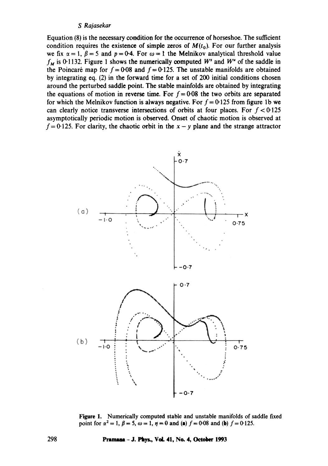**Equation (8) is the necessary condition for the occurrence of horseshoe. The sufficient**  condition requires the existence of simple zeros of  $M(t_0)$ . For our further analysis we fix  $\alpha = 1$ ,  $\beta = 5$  and  $p = 0.4$ . For  $\omega = 1$  the Melnikov analytical threshold value  $f_M$  is 0.1132. Figure 1 shows the numerically computed W<sup>s</sup> and W<sup>u</sup> of the saddle in the Poincaré map for  $f = 0.08$  and  $f = 0.125$ . The unstable manifolds are obtained **by integrating eq. (2) in the forward time for a set of 200 initial conditions chosen around the perturbed saddle point. The stable mainfolds are obtained by integrating**  the equations of motion in reverse time. For  $f = 0.08$  the two orbits are separated for which the Melnikov function is always negative. For  $f = 0.125$  from figure 1b we can clearly notice transverse intersections of orbits at four places. For  $f < 0.125$ **asymptotically periodic motion is observed. Onset of chaotic motion is observed at**   $f = 0.125$ . For clarity, the chaotic orbit in the  $x - y$  plane and the strange attractor





**Figure 1. Numerically computed stable and unstable manifolds of saddle fixed point for**  $\alpha^2 = 1$ **,**  $\beta = 5$ **,**  $\omega = 1$ **,**  $\eta = 0$  **and (a)**  $f = 0.08$  and (b)  $f = 0.125$ .

**298 Pranm~- J. Phys., Vdl. 41, Ne. 4, Octeber 1993**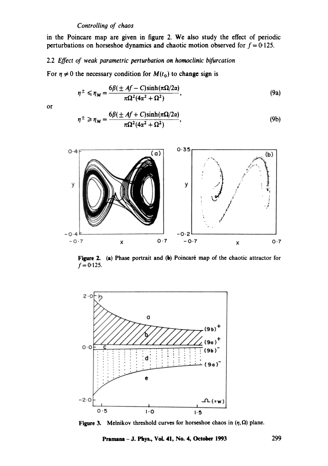in the Poincare map are given in figure 2. We also study the effect of periodic perturbations on horseshoe dynamics and chaotic motion observed for  $f = 0.125$ .

## 2.2 *Effect of weak parametric perturbation on homoclinic bifurcation*

For  $\eta \neq 0$  the necessary condition for  $M(t_0)$  to change sign is

$$
\eta^{\pm} \leqslant \eta_M = \frac{6\beta(\pm Af - C)\sinh(\pi\Omega/2\alpha)}{\pi\Omega^2(4\alpha^2 + \Omega^2)},\tag{9a}
$$

or

$$
\eta^{\pm} \ge \eta_M = \frac{6\beta(\pm Af + C)\sinh(\pi\Omega/2\alpha)}{\pi\Omega^2(4\alpha^2 + \Omega^2)},\tag{9b}
$$



**Figure 2.** (a) Phase portrait and (b) Poincaré map of the chaotic attractor for  $f=0.125$ .



**Figure 3.** Melnikov threshold curves for horseshoe chaos in  $(\eta, \Omega)$  plane.

**Pramana** -J. Phys., VoL 41, No. 4, October 1993 299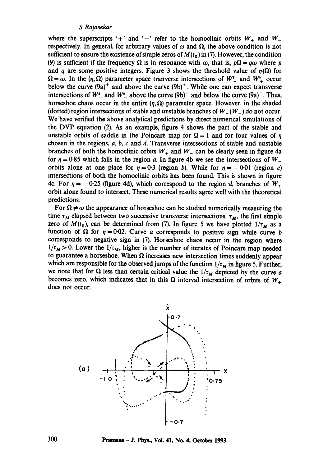where the superscripts '+' and '-' refer to the homoclinic orbits  $W_+$  and  $W_$ respectively. In general, for arbitrary values of  $\omega$  and  $\Omega$ , the above condition is not sufficient to ensure the existence of simple zeros of  $M(t_0)$  in (7). However, the condition (9) is sufficient if the frequency  $\Omega$  is in resonance with  $\omega$ , that is,  $p\Omega = q\omega$  where p and q are some positive integers. Figure 3 shows the threshold value of  $\eta(\Omega)$  for  $\Omega = \omega$ . In the  $(\eta, \Omega)$  parameter space tranverse intersections of  $W^*_{+}$  and  $W^*_{+}$  occur below the curve  $(9a)^+$  and above the curve  $(9b)^+$ . While one can expect transverse intersections of  $W^s$  and  $W^u$  above the curve (9b)<sup>-</sup> and below the curve (9a)<sup>-</sup>. Thus, horseshoe chaos occur in the entire  $(\eta, \Omega)$  parameter space. However, in the shaded (dotted) region intersections of stable and unstable branches of  $W_+(W_-)$  do not occur. We have verified the above analytical predictions by direct numerical simulations of the DVP equation (2). As an example, figure 4 shows the part of the stable and unstable orbits of saddle in the Poincaré map for  $\Omega = 1$  and for four values of  $\eta$ chosen in the regions,  $a, b, c$  and  $d$ . Transverse intersections of stable and unstable branches of both the homoclinic orbits  $W_+$  and  $W_-$  can be clearly seen in figure 4a for  $\eta = 0.85$  which falls in the region a. In figure 4b we see the intersections of W\_ orbits alone at one place for  $\eta = 0.3$  (region b). While for  $\eta = -0.01$  (region c) intersections of both the homoclinic orbits has been found. This is shown in figure 4c. For  $\eta = -0.25$  (figure 4d), which correspond to the region d, branches of  $W_+$ orbit alone found to intersect. These numerical results agree well with the theoretical predictions.

For  $\Omega \neq \omega$  the appearance of horseshoe can be studied numerically measuring the time  $\tau_M$  elapsed between two successive transverse intersections,  $\tau_M$ , the first simple zero of  $M(t_0)$ , can be determined from (7). In figure 5 we have plotted  $1/\tau_M$  as a function of  $\Omega$  for  $\eta = 0.02$ . Curve a corresponds to positive sign while curve b corresponds to negative sign in (7). Horseshoe chaos occur in the region where  $1/\tau_M > 0$ . Lower the  $1/\tau_M$ , higher is the number of iterates of Poincare map needed to guarantee a horseshoe. When  $\Omega$  increases new intersection times suddenly appear which are responsible for the observed jumps of the function  $1/\tau_M$  in figure 5. Further, we note that for  $\Omega$  less than certain critical value the  $1/\tau_M$  depicted by the curve a becomes zero, which indicates that in this  $\Omega$  interval intersection of orbits of  $W_+$ does not occur.

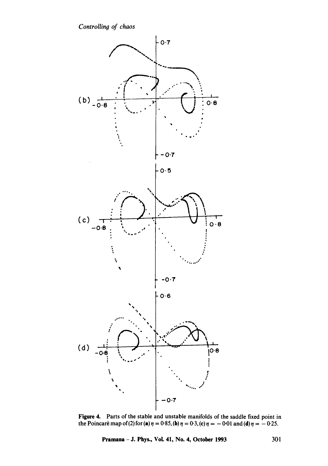

Figure 4. Parts of the stable and unstable manifolds of the saddle fixed point in the Poincaré map of (2) for (a)  $\eta = 0.85$ , (b)  $\eta = 0.3$ , (c)  $\eta = -0.01$  and (d)  $\eta = -0.25$ .

**Pramana - J. Phys., VoL 41, No. 4, October 1993 301**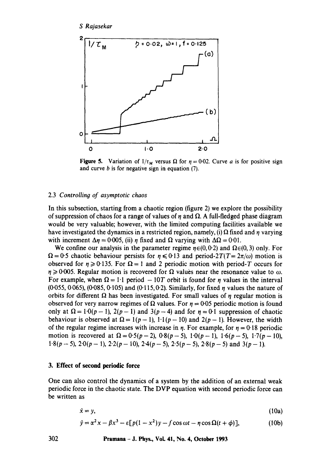

**Figure 5.** Variation of  $1/\tau_M$  versus  $\Omega$  for  $\eta = 0.02$ . Curve a is for positive sign and curve  $b$  is for negative sign in equation  $(7)$ .

## 2.3 *Controlling of asymptotic chaos*

In this subsection, starting from a chaotic region (figure 2) we explore the possibility of suppression of chaos for a range of values of  $\eta$  and  $\Omega$ . A full-fledged phase diagram would be very valuable; however, with the limited computing facilities available we have investigated the dynamics in a restricted region, namely, (i)  $\Omega$  fixed and  $\eta$  varying with increment  $\Delta \eta = 0.005$ , (ii)  $\eta$  fixed and  $\Omega$  varying with  $\Delta \Omega = 0.01$ .

We confine our analysis in the parameter regime  $\eta \in (0, 0.2)$  and  $\Omega \in (0, 3)$  only. For  $\Omega = 0.5$  chaotic behaviour persists for  $\eta \le 0.13$  and period-2T(T=  $2\pi/\omega$ ) motion is observed for  $\eta \ge 0.135$ . For  $\Omega = 1$  and 2 periodic motion with period-T occurs for  $\eta \geqslant 0.005$ . Regular motion is recovered for  $\Omega$  values near the resonance value to  $\omega$ . For example, when  $\Omega = 1.1$  period  $- 10T$  orbit is found for  $\eta$  values in the interval  $(0.055, 0.065)$ ,  $(0.085, 0.105)$  and  $(0.115, 0.2)$ . Similarly, for fixed  $\eta$  values the nature of orbits for different  $\Omega$  has been investigated. For small values of  $\eta$  regular motion is observed for very narrow regimes of  $\Omega$  values. For  $\eta = 0.05$  periodic motion is found only at  $\Omega = 1.0(p-1)$ ,  $2(p-1)$  and  $3(p-4)$  and for  $n=0.1$  suppression of chaotic behaviour is observed at  $\Omega = 1(p-1)$ , 1.1(p-10) and 2(p-1). However, the width of the regular regime increases with increase in  $\eta$ . For example, for  $\eta = 0.18$  periodic motion is recovered at  $\Omega = 0.5(p-2)$ ,  $0.8(p-5)$ ,  $1.0(p-1)$ ,  $1.6(p-5)$ ,  $1.7(p-10)$ , 1-8(p - 5),  $2.0(p-1)$ ,  $2.2(p-10)$ ,  $2.4(p-5)$ ,  $2.5(p-5)$ ,  $2.8(p-5)$  and  $3(p-1)$ .

## **3. Effect of second periodic force**

Ó

One can also control the dynamics of a system by the addition of an external weak periodic force in the chaotic state. The DVP equation with second periodic force can be written as

$$
\dot{\mathbf{x}} = \mathbf{y},\tag{10a}
$$

$$
\dot{y} = \alpha^2 x - \beta x^3 - \varepsilon [p(1 - x^2)y - f \cos \omega t - \eta \cos \Omega (t + \phi)], \qquad (10b)
$$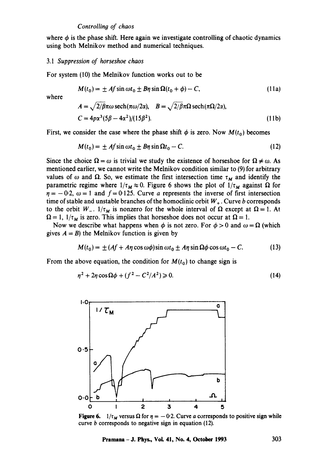where  $\phi$  is the phase shift. Here again we investigate controlling of chaotic dynamics using both Melnikov method and numerical techniques.

#### *3.1 Suppression of horseshoe chaos*

For system (10) the Melnikov function works out to be

$$
M(t_0) = \pm Af \sin \omega t_0 \pm B\eta \sin \Omega (t_0 + \phi) - C,\tag{11a}
$$

where

$$
A = \sqrt{2/\beta} \pi \omega \operatorname{sech}(\pi \omega/2\alpha), \quad B = \sqrt{2/\beta} \pi \Omega \operatorname{sech}(\pi \Omega/2\alpha),
$$
  
\n
$$
C = 4p\alpha^3 (5\beta - 4\alpha^2)/(15\beta^2).
$$
\n(11b)

First, we consider the case where the phase shift  $\phi$  is zero. Now  $M(t_0)$  becomes

$$
M(t_0) = \pm Af \sin \omega t_0 + B\eta \sin \Omega t_0 - C. \qquad (12)
$$

Since the choice  $\Omega = \omega$  is trivial we study the existence of horseshoe for  $\Omega \neq \omega$ . As mentioned earlier, we cannot write the Melnikov condition similar to (9) for arbitrary values of  $\omega$  and  $\Omega$ . So, we estimate the first intersection time  $\tau_M$  and identify the parametric regime where  $1/\tau_M \approx 0$ . Figure 6 shows the plot of  $1/\tau_M$  against  $\Omega$  for  $\eta = -0.2$ ,  $\omega = 1$  and  $f = 0.125$ . Curve a represents the inverse of first intersection time of stable and unstable branches of the homoclinic orbit  $W_+$ . Curve b corresponds to the orbit W<sub>-</sub>.  $1/\tau_M$  is nonzero for the whole interval of  $\Omega$  except at  $\Omega = 1$ . At  $\Omega = 1$ ,  $1/\tau_M$  is zero. This implies that horseshoe does not occur at  $\Omega = 1$ .

Now we describe what happens when  $\phi$  is not zero. For  $\phi > 0$  and  $\omega = \Omega$  (which gives  $A = B$ ) the Melnikov function is given by

$$
M(t_0) = \pm (Af + A\eta \cos \omega \phi) \sin \omega t_0 \pm A\eta \sin \Omega \phi \cos \omega t_0 - C. \tag{13}
$$

From the above equation, the condition for  $M(t_0)$  to change sign is

$$
\eta^2 + 2\eta \cos \Omega \phi + (f^2 - C^2/A^2) \ge 0. \tag{14}
$$



**Figure 6.**  $1/\tau_M$  versus  $\Omega$  for  $\eta = -0.2$ . Curve a corresponds to positive sign while curve b corresponds to negative sign in equation (12).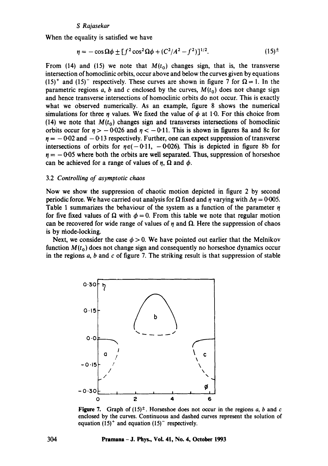When the equality is satisfied we have

$$
\eta = -\cos\Omega\phi \pm [f^2\cos^2\Omega\phi + (C^2/A^2 - f^2)]^{1/2}.
$$
 (15)<sup>±</sup>

From (14) and (15) we note that  $M(t_0)$  changes sign, that is, the transverse intersection of homoclinic orbits, occur above and below the curves given by equations (15)<sup>+</sup> and (15)<sup>-</sup> respectively. These curves are shown in figure 7 for  $\Omega = 1$ . In the parametric regions a, b and c enclosed by the curves,  $M(t_0)$  does not change sign and hence transverse intersections of homoclinic orbits do not occur. This is exactly what we observed numerically. As an example, figure 8 shows the numerical simulations for three  $\eta$  values. We fixed the value of  $\phi$  at 1.0. For this choice from (14) we note that  $M(t_0)$  changes sign and transverses intersections of homoclinic orbits occur for  $\eta > -0.026$  and  $\eta < -0.11$ . This is shown in figures 8a and 8c for  $r = -0.02$  and  $-0.13$  respectively. Further, one can expect suppression of transverse intersections of orbits for  $\eta \in (-0.11, -0.026)$ . This is depicted in figure 8b for  $n = -0.05$  where both the orbits are well separated. Thus, suppression of horseshoe can be achieved for a range of values of  $\eta$ ,  $\Omega$  and  $\phi$ .

## 3.2 Controlling of asymptotic chaos

Now we show the suppression of chaotic motion depicted in figure 2 by second periodic force. We have carried out analysis for  $\Omega$  fixed and  $\eta$  varying with  $\Delta \eta = 0.005$ . Table 1 summarizes the behaviour of the system as a function of the parameter  $\eta$ for five fixed values of  $\Omega$  with  $\phi = 0$ . From this table we note that regular motion can be recovered for wide range of values of  $\eta$  and  $\Omega$ . Here the suppression of chaos is by niode-locking.

Next, we consider the case  $\phi > 0$ . We have pointed out earlier that the Melnikov function  $M(t_0)$  does not change sign and consequently no horseshoe dynamics occur in the regions  $a$ ,  $b$  and  $c$  of figure 7. The striking result is that suppression of stable



**Figure 7.** Graph of  $(15)^{\pm}$ . Horseshoe does not occur in the regions a, b and c enclosed by the curves. Continuous and dashed curves represent the solution of equation  $(15)^+$  and equation  $(15)^-$  respectively.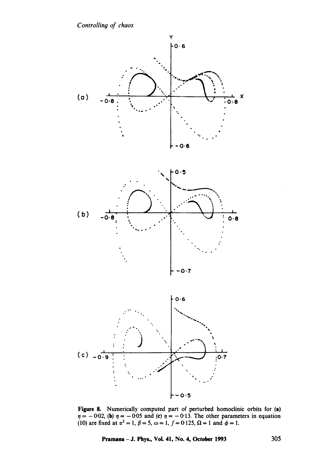

Figure 8. Numerically computed part of perturbed homoclinic orbits for (a)  $= -0.02$ , (b)  $\eta = -0.05$  and (c)  $\eta = -0.13$ . The other parameters in equation (10) are fixed at  $\alpha^2 = 1$ ,  $\beta = 5$ ,  $\omega = 1$ ,  $f = 0.125$ ,  $\Omega = 1$  and  $\phi = 1$ .

**Pramana - J. Phys., Vol. 41, No. 4, October 1993 305**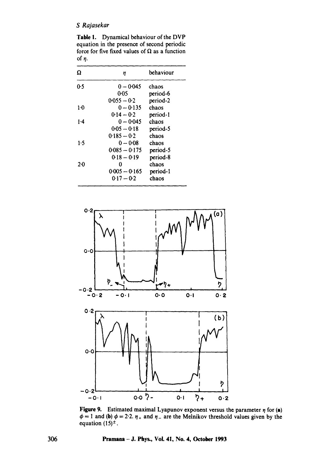Table I. Dynamical behaviour of the DVP equation in the presence of second periodic force for five fixed values of  $\Omega$  as a function of  $\eta$ .

| Ω       | η               | behaviour |
|---------|-----------------|-----------|
| 0.5     | $0 - 0.045$     | chaos     |
|         | 0.05            | period-6  |
|         | $0.055 - 0.2$   | period-2  |
| 1.0     | $0 - 0.135$     | chaos     |
|         | $0.14 - 0.2$    | period-1  |
| $1-4$   | $0 - 0.045$     | chaos     |
|         | 0-05 — 0-18     | period-5  |
|         | $0.185 - 0.2$   | chaos     |
| 1.5     | $0 - 0.08$      | chaos     |
|         | $0.085 - 0.175$ | period-5  |
|         | $0.18 - 0.19$   | period-8  |
| $2 - 0$ | 0               | chaos     |
|         | $0.005 - 0.165$ | period-1  |
|         | $0.17 - 0.2$    | chaos     |



**Figure 9.** Estimated maximal Lyapunov exponent versus the parameter  $\eta$  for (a)  $\phi = 1$  and (b)  $\phi = 2.2$ .  $\eta_+$  and  $\eta_-$  are the Melnikov threshold values given by the equation  $(15)^{\pm}$ .

**306 Pramana - J. Phys., VoL 41, No. 4, October 1993**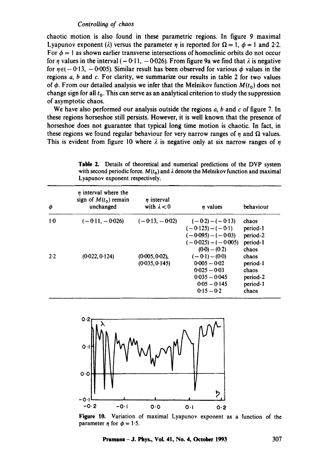chaotic motion is also found in these parametric regions. In figure 9 maximal Lyapunov exponent ( $\lambda$ ) versus the parameter  $\eta$  is reported for  $\Omega = 1, \phi = 1$  and 2.2. For  $\phi = 1$  as shown earlier transverse intersections of homoclinic orbits do not occur for  $\eta$  values in the interval (-0.11, -0.026). From figure 9a we find that  $\lambda$  is negative for  $\eta \in (-0.13, -0.005)$ . Similar result has been observed for various  $\phi$  values in the regions  $a$ ,  $b$  and  $c$ . For clarity, we summarize our results in table 2 for two values of  $\phi$ . From our detailed analysis we infer that the Melnikov function  $M(t_0)$  does not change sign for all  $t_0$ . This can serve as an analytical criterion to study the suppression of asymptotic chaos.

We have also performed our analysis outside the regions  $a, b$  and  $c$  of figure 7. In these regions horseshoe still persists. However, it is well known, that the presence of horseshoe does not guarantee that typical long time motion is chaotic. In fact, in these regions we found regular behaviour for very narrow ranges of  $\eta$  and  $\Omega$  values. This is evident from figure 10 where  $\lambda$  is negative only at six narrow ranges of  $\eta$ 

Table 2. Details of theoretical and numerical predictions of the DVP system with second periodic force.  $M(t_0)$  and  $\lambda$  denote the Melnikov function and maximal Lyapunov exponent respectively.

| φ     | $\eta$ interval where the<br>sign of $M(t_0)$ remain<br>unchanged | $n$ interval<br>with $\lambda < 0$  | <i>n</i> values                                                                                               | behaviour                                                   |
|-------|-------------------------------------------------------------------|-------------------------------------|---------------------------------------------------------------------------------------------------------------|-------------------------------------------------------------|
| $1-0$ | $(-0.11, -0.026)$                                                 | $(-0.13, -0.02)$                    | $(-0.2) - (-0.13)$<br>$(-0.125) - (-0.1)$<br>$(-0.095) - (-0.03)$<br>$(-0.025) - (-0.005)$<br>$(0.0) - (0.2)$ | chaos<br>period-1<br>period-2<br>period-1<br>chaos          |
| 2.2   | (0.022, 0.124)                                                    | $(0.005, 0.02)$ ,<br>(0.035, 0.145) | $(-0.1) - (0.0)$<br>$0.005 - 0.02$<br>$0.025 - 0.03$<br>$0.035 - 0.045$<br>$0.05 - 0.145$<br>$0.15 - 0.2$     | chaos<br>period-1<br>chaos<br>period-2<br>period-1<br>chaos |



**Figure 10.** Variation of maximal Lyapunov exponent as a function of the parameter  $\eta$  for  $\phi = 1.5$ .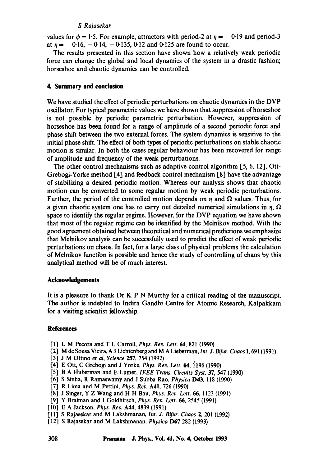values for  $\phi = 1.5$ . For example, attractors with period-2 at  $\eta = -0.19$  and period-3 at  $\eta = -0.16$ ,  $-0.14$ ,  $-0.135$ , 0.12 and 0.125 are found to occur.

The results presented in this section have shown how a relatively weak periodic force can change the global and local dynamics of the system in a drastic fashion; horseshoe and chaotic dynamics can be controlled.

## **4. Summary and conclusion**

We have studied the effect of periodic perturbations on chaotic dynamics in the DVP oscillator. For typical parametric values we have shown that suppression of horseshoe is not possible by periodic parametric perturbation. However, suppression of horseshoe has been found for a range of amplitude of a second periodic force and phase shift between the two external forces. The system dynamics is sensitive to the initial phase shift. The effect of both types of periodic perturbations on stable chaotic motion is similar. In both the cases regular behaviour has been recovered for range of amplitude and frequency of the weak perturbations.

The other control mechanisms such as adaptive control algorithm  $[5, 6, 12]$ , Ott-Grebogi-Yorke method [4] and feedback control mechanism [8] have the advantage of stabilizing a desired periodic motion. Whereas our analysis shows that chaotic motion can be converted to some regular motion by weak periodic perturbations. Further, the period of the controlled motion depends on  $\eta$  and  $\Omega$  values. Thus, for a given chaotic system one has to carry out detailed numerical simulations in  $\eta$ ,  $\Omega$ space to identify the regular regime. However, for the DVP equation we have shown that most of the regular regime can be identified by the Melnikov method. With the good agreement obtained between theoretical and numerical predictions we emphasize that Melnikov analysis can be successfully used to predict the effect of weak periodic perturbations on chaos. In fact, for a large class of physical problems the calculation of Melnikov function is possible and hence the study of controlling of chaos by this analytical method will be of much interest.

#### **Acknowledgements**

It is a pleasure to thank Dr K P N Murthy for a critical reading of the manuscript. The author is indebted to lndira Gandhi Centre for Atomic Research, Kalpakkam for a visiting scientist fellowship.

## **References**

- [1] L M Pecora and T L Carroll, *Phys. Rev. Lett.* 64, 821 (1990)
- [2] M de Sousa Vieira, A J Lichtenberg and M A Lieberman, *Int. J. Bifur. Chaos* 1,691 (1991)
- [3] J M Ottino *et al, Science* 257, 754 (1992)
- [4] E Ott, C Grebogi and J Yorke, *Phys. Rev. Lett. 64,* 1196 (1990)
- [5] B A Huberman and E Lumer, *IEEE Trans. Circuits Syst.* 37, 547 (1990)
- [6] S Sinha, R Ramaswamy and J Subba Rao, *Physica* D43, 118 (1990)
- [7] R Lima and M Pettini, *Phys. Re'v.* A41, 726 (1990)
- [8] J Singer, Y Z Wang and H H Bau, *Phys. Rev. Lett. 66,* 1123 (1991)
- [9] Y Braiman and I Goldhirsch, *Phys. Rev. Lett. 66,* 2545 (1991)
- [101 E A Jackson, *Phys. Rev.* A44, 4839 (1991)
- [11] S Rajasekar and M Lakshmanan, *Int. J. Bifur. Chaos* 2, 201 (1992)
- [12] S Rajasekar and M Lakshmanan, *Physica* D67 282 (1993)